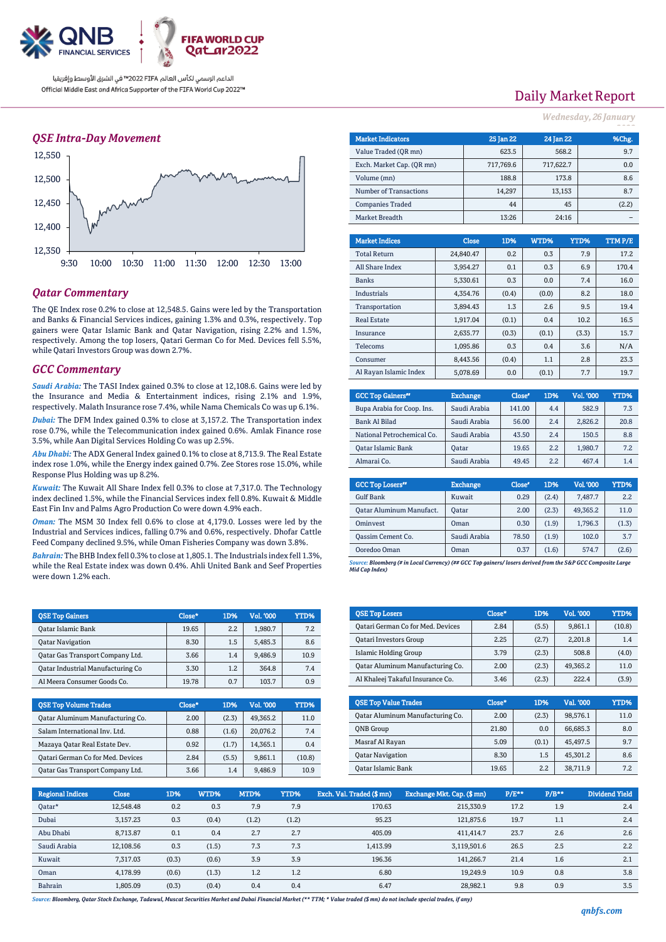

الداعم الرسمي لكأس العالم PIFA≤™ في الشرق الأوسط وإفريقيا Official Middle East and Africa Supporter of the FIFA World Cup 2022™

### *QSE Intra-Day Movement*



## *Qatar Commentary*

The QE Index rose 0.2% to close at 12,548.5. Gains were led by the Transportation and Banks & Financial Services indices, gaining 1.3% and 0.3%, respectively. Top gainers were Qatar Islamic Bank and Qatar Navigation, rising 2.2% and 1.5%, respectively. Among the top losers, Qatari German Co for Med. Devices fell 5.5%, while Qatari Investors Group was down 2.7%.

### *GCC Commentary*

*Saudi Arabia:* The TASI Index gained 0.3% to close at 12,108.6. Gains were led by the Insurance and Media & Entertainment indices, rising 2.1% and 1.9%, respectively. Malath Insurance rose 7.4%, while Nama Chemicals Co was up 6.1%.

*Dubai:* The DFM Index gained 0.3% to close at 3,157.2. The Transportation index rose 0.7%, while the Telecommunication index gained 0.6%. Amlak Finance rose 3.5%, while Aan Digital Services Holding Co was up 2.5%.

*Abu Dhabi:* The ADX General Index gained 0.1% to close at 8,713.9. The Real Estate index rose 1.0%, while the Energy index gained 0.7%. Zee Stores rose 15.0%, while Response Plus Holding was up 8.2%.

*Kuwait:* The Kuwait All Share Index fell 0.3% to close at 7,317.0. The Technology index declined 1.5%, while the Financial Services index fell 0.8%. Kuwait & Middle East Fin Inv and Palms Agro Production Co were down 4.9% each.

*Oman:* The MSM 30 Index fell 0.6% to close at 4,179.0. Losses were led by the Industrial and Services indices, falling 0.7% and 0.6%, respectively. Dhofar Cattle Feed Company declined 9.5%, while Oman Fisheries Company was down 3.8%.

*Bahrain:* The BHB Index fell 0.3% to close at 1,805.1. The Industrials index fell 1.3%, while the Real Estate index was down 0.4%. Ahli United Bank and Seef Properties were down 1.2% each.

| <b>OSE Top Gainers</b>                   | Close* | 1D% | Vol. '000 | YTD% |
|------------------------------------------|--------|-----|-----------|------|
| <b>Oatar Islamic Bank</b>                | 19.65  | 2.2 | 1.980.7   | 7.2  |
| <b>Oatar Navigation</b>                  | 8.30   | 1.5 | 5.485.3   | 8.6  |
| Oatar Gas Transport Company Ltd.         | 3.66   | 1.4 | 9.486.9   | 10.9 |
| <b>Qatar Industrial Manufacturing Co</b> | 3.30   | 1.2 | 364.8     | 7.4  |
| Al Meera Consumer Goods Co.              | 19.78  | 0.7 | 103.7     | 0.9  |

| <b>QSE Top Volume Trades</b>      | Close* | 1D%   | Vol. '000 | <b>YTD%</b> |
|-----------------------------------|--------|-------|-----------|-------------|
| Qatar Aluminum Manufacturing Co.  | 2.00   | (2.3) | 49.365.2  | 11.0        |
| Salam International Inv. Ltd.     | 0.88   | (1.6) | 20.076.2  | 7.4         |
| Mazaya Qatar Real Estate Dev.     | 0.92   | (1.7) | 14.365.1  | 0.4         |
| Qatari German Co for Med. Devices | 2.84   | (5.5) | 9,861.1   | (10.8)      |
| Oatar Gas Transport Company Ltd.  | 3.66   | 1.4   | 9.486.9   | 10.9        |

# Daily Market Report

#### *Wednesday, 26 January*

| <b>Market Indicators</b>  |  |              | 25 Jan 22 | 24 Jan 22 |        | %Chg.  |  |
|---------------------------|--|--------------|-----------|-----------|--------|--------|--|
| Value Traded (QR mn)      |  |              | 623.5     |           | 568.2  | 9.7    |  |
| Exch. Market Cap. (QR mn) |  | 717,769.6    |           | 717,622.7 |        | 0.0    |  |
| Volume (mn)               |  |              | 188.8     |           | 173.8  | 8.6    |  |
| Number of Transactions    |  |              | 14,297    |           | 13,153 | 8.7    |  |
| <b>Companies Traded</b>   |  |              | 44        |           | 45     | (2.2)  |  |
| Market Breadth            |  |              | 13:26     |           | 24:16  |        |  |
|                           |  |              |           |           |        |        |  |
| <b>Market Indices</b>     |  | <b>Close</b> | 1D%       | WTD%      | YTD%   | TTMP/E |  |
| <b>Total Return</b>       |  | 24,840.47    | 0.2       | 0.3       | 7.9    | 17.2   |  |
| All Share Index           |  | 3,954.27     | 0.1       | 0.3       | 6.9    | 170.4  |  |
| <b>Banks</b>              |  | 5,330.61     | 0.3       | 0.0       | 7.4    | 16.0   |  |
| <b>Industrials</b>        |  | 4,354.76     | (0.4)     | (0.0)     | 8.2    | 18.0   |  |
| Transportation            |  | 3,894.43     | 1.3       | 2.6       | 9.5    | 19.4   |  |
| <b>Real Estate</b>        |  | 1,917.04     | (0.1)     | 0.4       | 10.2   | 16.5   |  |
| Insurance                 |  | 2,635.77     | (0.3)     | (0.1)     | (3.3)  | 15.7   |  |
| Telecoms                  |  | 1,095.86     | 0.3       | 0.4       | 3.6    | N/A    |  |
| Consumer                  |  | 8.443.56     | (0.4)     | 1.1       | 2.8    | 23.3   |  |

| <b>GCC Top Gainers</b> "   | <b>Exchange</b> | Close* | 1D% | Vol. '000 | YTD% |
|----------------------------|-----------------|--------|-----|-----------|------|
| Bupa Arabia for Coop. Ins. | Saudi Arabia    | 141.00 | 4.4 | 582.9     | 7.3  |
| Bank Al Bilad              | Saudi Arabia    | 56.00  | 2.4 | 2,826.2   | 20.8 |
| National Petrochemical Co. | Saudi Arabia    | 43.50  | 2.4 | 150.5     | 8.8  |
| <b>Oatar Islamic Bank</b>  | Oatar           | 19.65  | 2.2 | 1,980.7   | 7.2  |
| Almarai Co.                | Saudi Arabia    | 49.45  | 2.2 | 467.4     | 1.4  |

Al Rayan Islamic Index | 5,078.69 0.0 (0.1) 7.7 19.7

| <b>GCC Top Losers</b> "         | <b>Exchange</b> | Close <sup>®</sup> | 1D%   | Vol. '000 | YTD%  |
|---------------------------------|-----------------|--------------------|-------|-----------|-------|
| <b>Gulf Bank</b>                | Kuwait          | 0.29               | (2.4) | 7.487.7   | 2.2   |
| <b>Qatar Aluminum Manufact.</b> | <b>Oatar</b>    | 2.00               | (2.3) | 49.365.2  | 11.0  |
| Ominyest                        | Oman            | 0.30               | (1.9) | 1,796.3   | (1.3) |
| Oassim Cement Co.               | Saudi Arabia    | 78.50              | (1.9) | 102.0     | 3.7   |
| Ooredoo Oman                    | Oman            | 0.37               | (1.6) | 574.7     | (2.6) |

*Source: Bloomberg (# in Local Currency) (## GCC Top gainers/ losers derived from the S&P GCC Composite Large Mid Cap Index)*

| <b>QSE Top Losers</b>             | Close* | 1D%   | Vol. '000 | YTD%   |
|-----------------------------------|--------|-------|-----------|--------|
| Qatari German Co for Med. Devices | 2.84   | (5.5) | 9,861.1   | (10.8) |
| <b>Qatari Investors Group</b>     | 2.25   | (2.7) | 2.201.8   | 1.4    |
| Islamic Holding Group             | 3.79   | (2.3) | 508.8     | (4.0)  |
| Oatar Aluminum Manufacturing Co.  | 2.00   | (2.3) | 49.365.2  | 11.0   |
| Al Khaleej Takaful Insurance Co.  | 3.46   | (2.3) | 222.4     | (3.9)  |

| <b>OSE Top Value Trades</b>      | Close* | 1D%   | Val. '000 | YTD% |
|----------------------------------|--------|-------|-----------|------|
| Oatar Aluminum Manufacturing Co. | 2.00   | (2.3) | 98.576.1  | 11.0 |
| <b>ONB</b> Group                 | 21.80  | 0.0   | 66.685.3  | 8.0  |
| Masraf Al Rayan                  | 5.09   | (0.1) | 45.497.5  | 9.7  |
| <b>Qatar Navigation</b>          | 8.30   | 1.5   | 45.301.2  | 8.6  |
| Oatar Islamic Bank               | 19.65  | 2.2   | 38.711.9  | 7.2  |

| <b>Regional Indices</b> | <b>Close</b> | 1D%   | WTD%  | MTD%  | YTD%  | Exch. Val. Traded (\$ mn) | Exchange Mkt. Cap. (\$ mn) | $P/E**$ | $P/B**$ | Dividend Yield |
|-------------------------|--------------|-------|-------|-------|-------|---------------------------|----------------------------|---------|---------|----------------|
| Oatar*                  | 12.548.48    | 0.2   | 0.3   | 7.9   | 7.9   | 170.63                    | 215,330.9                  | 17.2    | 1.9     | 2.4            |
| Dubai                   | 3,157.23     | 0.3   | (0.4) | (1.2) | (1.2) | 95.23                     | 121.875.6                  | 19.7    | 1.1     | 2.4            |
| Abu Dhabi               | 8,713.87     | 0.1   | 0.4   | 2.7   | 2.7   | 405.09                    | 411.414.7                  | 23.7    | 2.6     | 2.6            |
| Saudi Arabia            | 12.108.56    | 0.3   | (1.5) | 7.3   | 7.3   | 1.413.99                  | 3,119,501.6                | 26.5    | 2.5     | 2.2            |
| Kuwait                  | 7.317.03     | (0.3) | (0.6) | 3.9   | 3.9   | 196.36                    | 141.266.7                  | 21.4    | 1.6     | 2.1            |
| Oman                    | 4.178.99     | (0.6) | (1.3) | 1.2   | 1.2   | 6.80                      | 19.249.9                   | 10.9    | 0.8     | 3.8            |
| Bahrain                 | 1.805.09     | (0.3) | (0.4) | 0.4   | 0.4   | 6.47                      | 28,982.1                   | 9.8     | 0.9     | 3.5            |

*Source: Bloomberg, Qatar Stock Exchange, Tadawul, Muscat Securities Market and Dubai Financial Market (\*\* TTM; \* Value traded (\$ mn) do not include special trades, if any)*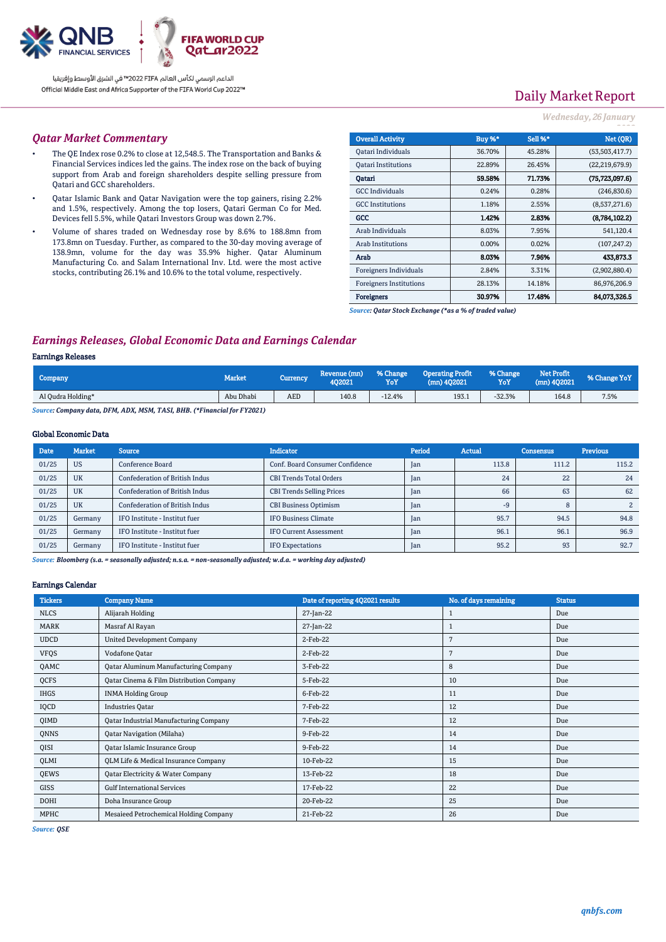

الداعم الرسمي لكأس العالم PIFA™ في الشرق الأوسط وإفريقيا Official Middle East and Africa Supporter of the FIFA World Cup 2022™

# Daily Market Report

### *Wednesday, 26 January*

#### *Qatar Market Commentary*

- The QE Index rose 0.2% to close at 12,548.5. The Transportation and Banks & Financial Services indices led the gains. The index rose on the back of buying support from Arab and foreign shareholders despite selling pressure from Qatari and GCC shareholders.
- Qatar Islamic Bank and Qatar Navigation were the top gainers, rising 2.2% and 1.5%, respectively. Among the top losers, Qatari German Co for Med. Devices fell 5.5%, while Qatari Investors Group was down 2.7%.
- Volume of shares traded on Wednesday rose by 8.6% to 188.8mn from 173.8mn on Tuesday. Further, as compared to the 30-day moving average of 138.9mn, volume for the day was 35.9% higher. Qatar Aluminum Manufacturing Co. and Salam International Inv. Ltd. were the most active stocks, contributing 26.1% and 10.6% to the total volume, respectively.

| <b>Overall Activity</b>        | Buy %* | Sell %* | Net (OR)         |
|--------------------------------|--------|---------|------------------|
| Qatari Individuals             | 36.70% | 45.28%  | (53,503,417.7)   |
| <b>Oatari Institutions</b>     | 22.89% | 26.45%  | (22, 219, 679.9) |
| Oatari                         | 59.58% | 71.73%  | (75, 723, 097.6) |
| <b>GCC</b> Individuals         | 0.24%  | 0.28%   | (246, 830.6)     |
| <b>GCC</b> Institutions        | 1.18%  | 2.55%   | (8,537,271.6)    |
| GCC                            | 1.42%  | 2.83%   | (8,784,102.2)    |
| Arab Individuals               | 8.03%  | 7.95%   | 541,120.4        |
| <b>Arab Institutions</b>       | 0.00%  | 0.02%   | (107, 247.2)     |
| Arab                           | 8.03%  | 7.96%   | 433,873.3        |
| Foreigners Individuals         | 2.84%  | 3.31%   | (2,902,880.4)    |
| <b>Foreigners Institutions</b> | 28.13% | 14.18%  | 86,976,206.9     |
| <b>Foreigners</b>              | 30.97% | 17.48%  | 84,073,326.5     |

*Source: Qatar Stock Exchange (\*as a % of traded value)*

## *Earnings Releases, Global Economic Data and Earnings Calendar*

#### Earnings Releases

| Company           | Market    | Currency   | Revenue (mn)<br>402021 | % Change<br>YoY | <b>Operating Profit</b><br>$(mn)$ 402021 | % Change<br>YoY | <b>Net Profit</b><br>$(mn)$ 402021 | % Change YoY |
|-------------------|-----------|------------|------------------------|-----------------|------------------------------------------|-----------------|------------------------------------|--------------|
| Al Qudra Holding* | Abu Dhabi | <b>AED</b> | 140.8                  | $-12.4%$        | 193.1                                    | $-32.3%$        | 164.8                              | 7.5%         |

*Source: Company data, DFM, ADX, MSM, TASI, BHB. (\*Financial for FY2021)*

### Global Economic Data

| <b>Date</b> | <b>Market</b> | <b>Source</b>                         | <b>Indicator</b>                 | Period | <b>Actual</b> | <b>Consensus</b> | <b>Previous</b> |
|-------------|---------------|---------------------------------------|----------------------------------|--------|---------------|------------------|-----------------|
| 01/25       | <b>US</b>     | Conference Board                      | Conf. Board Consumer Confidence  | Jan    | 113.8         | 111.2            | 115.2           |
| 01/25       | <b>UK</b>     | <b>Confederation of British Indus</b> | <b>CBI Trends Total Orders</b>   | Jan    | 24            | 22               | 24              |
| 01/25       | <b>UK</b>     | Confederation of British Indus        | <b>CBI Trends Selling Prices</b> | Jan    | 66            | 63               | 62              |
| 01/25       | <b>UK</b>     | <b>Confederation of British Indus</b> | <b>CBI Business Optimism</b>     | Jan    | -9            | 8                |                 |
| 01/25       | Germany       | IFO Institute - Institut fuer         | IFO Business Climate             | Jan    | 95.7          | 94.5             | 94.8            |
| 01/25       | Germany       | IFO Institute - Institut fuer         | <b>IFO Current Assessment</b>    | Jan    | 96.1          | 96.1             | 96.9            |
| 01/25       | Germany       | IFO Institute - Institut fuer         | <b>IFO Expectations</b>          | Jan    | 95.2          | 93               | 92.7            |

*Source: Bloomberg (s.a. = seasonally adjusted; n.s.a. = non-seasonally adjusted; w.d.a. = working day adjusted)*

### Earnings Calendar

| <b>Tickers</b> | <b>Company Name</b>                           | Date of reporting 4Q2021 results | No. of days remaining | <b>Status</b> |
|----------------|-----------------------------------------------|----------------------------------|-----------------------|---------------|
| <b>NLCS</b>    | Alijarah Holding                              | 27-Jan-22                        |                       | Due           |
| MARK           | Masraf Al Rayan                               | 27-Jan-22                        |                       | Due           |
| <b>UDCD</b>    | <b>United Development Company</b>             | 2-Feb-22                         | 7                     | Due           |
| <b>VFQS</b>    | Vodafone Qatar                                | 2-Feb-22                         | 7                     | Due           |
| QAMC           | <b>Qatar Aluminum Manufacturing Company</b>   | 3-Feb-22                         | 8                     | Due           |
| QCFS           | Qatar Cinema & Film Distribution Company      | 5-Feb-22                         | 10                    | Due           |
| <b>IHGS</b>    | <b>INMA Holding Group</b>                     | 6-Feb-22                         | 11                    | Due           |
| IQCD           | <b>Industries Qatar</b>                       | 7-Feb-22                         | 12                    | Due           |
| QIMD           | <b>Qatar Industrial Manufacturing Company</b> | 7-Feb-22                         | 12                    | Due           |
| QNNS           | <b>Qatar Navigation (Milaha)</b>              | 9-Feb-22                         | 14                    | Due           |
| QISI           | <b>Qatar Islamic Insurance Group</b>          | 9-Feb-22                         | 14                    | Due           |
| QLMI           | QLM Life & Medical Insurance Company          | 10-Feb-22                        | 15                    | Due           |
| QEWS           | Qatar Electricity & Water Company             | 13-Feb-22                        | 18                    | Due           |
| GISS           | <b>Gulf International Services</b>            | 17-Feb-22                        | 22                    | Due           |
| DOHI           | Doha Insurance Group                          | 20-Feb-22                        | 25                    | Due           |
| <b>MPHC</b>    | Mesaieed Petrochemical Holding Company        | 21-Feb-22                        | 26                    | Due           |

*Source: QSE*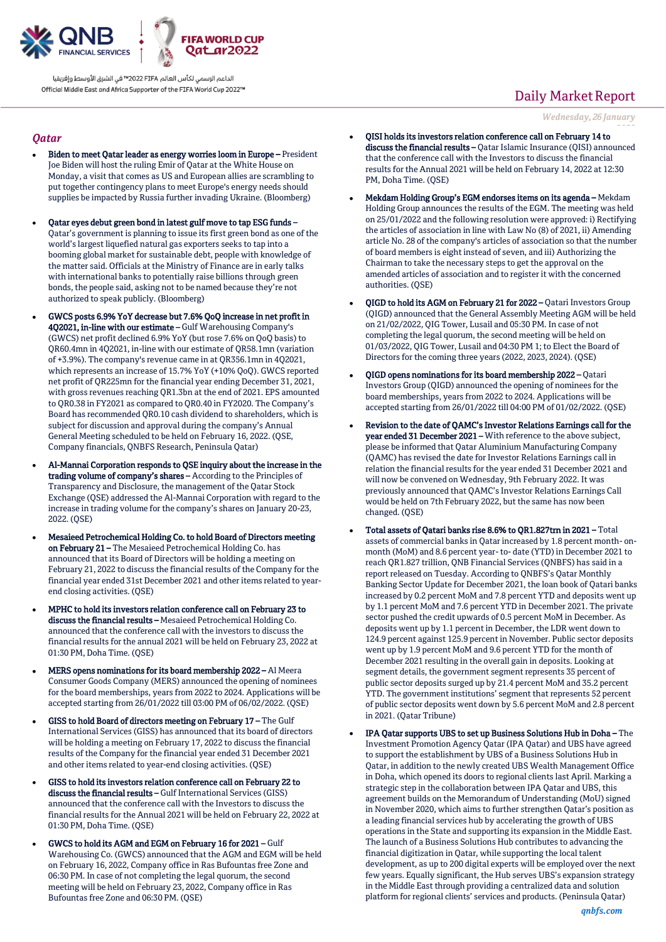

الداعم الرسمى لكأس العالم PIFA™ في الشرق الأوسط وإفريقيا Official Middle East and Africa Supporter of the FIFA World Cup 2022™

### *Qatar*

- Biden to meet Qatar leader as energy worries loom in Europe President Joe Biden will host the ruling Emir of Qatar at the White House on Monday, a visit that comes as US and European allies are scrambling to put together contingency plans to meet Europe's energy needs should supplies be impacted by Russia further invading Ukraine. (Bloomberg)
- Qatar eyes debut green bond in latest gulf move to tap ESG funds Qatar's government is planning to issue its first green bond as one of the world's largest liquefied natural gas exporters seeks to tap into a booming global market for sustainable debt, people with knowledge of the matter said. Officials at the Ministry of Finance are in early talks with international banks to potentially raise billions through green bonds, the people said, asking not to be named because they're not authorized to speak publicly. (Bloomberg)
- GWCS posts 6.9% YoY decrease but 7.6% QoQ increase in net profit in 4Q2021, in-line with our estimate – Gulf Warehousing Company's (GWCS) net profit declined 6.9% YoY (but rose 7.6% on QoQ basis) to QR60.4mn in 4Q2021, in-line with our estimate of QR58.1mn (variation of +3.9%). The company's revenue came in at QR356.1mn in 4Q2021, which represents an increase of 15.7% YoY (+10% QoQ). GWCS reported net profit of QR225mn for the financial year ending December 31, 2021, with gross revenues reaching QR1.3bn at the end of 2021. EPS amounted to QR0.38 in FY2021 as compared to QR0.40 in FY2020. The Company's Board has recommended QR0.10 cash dividend to shareholders, which is subject for discussion and approval during the company's Annual General Meeting scheduled to be held on February 16, 2022. (QSE, Company financials, QNBFS Research, Peninsula Qatar)
- Al-Mannai Corporation responds to QSE inquiry about the increase in the trading volume of company's shares – According to the Principles of Transparency and Disclosure, the management of the Qatar Stock Exchange (QSE) addressed the Al-Mannai Corporation with regard to the increase in trading volume for the company's shares on January 20-23, 2022. (QSE)
- Mesaieed Petrochemical Holding Co. to hold Board of Directors meeting on February 21 – The Mesaieed Petrochemical Holding Co. has announced that its Board of Directors will be holding a meeting on February 21, 2022 to discuss the financial results of the Company for the financial year ended 31st December 2021 and other items related to yearend closing activities. (QSE)
- MPHC to hold its investors relation conference call on February 23 to discuss the financial results – Mesaieed Petrochemical Holding Co. announced that the conference call with the investors to discuss the financial results for the annual 2021 will be held on February 23, 2022 at 01:30 PM, Doha Time. (QSE)
- MERS opens nominations for its board membership 2022 Al Meera Consumer Goods Company (MERS) announced the opening of nominees for the board memberships, years from 2022 to 2024. Applications will be accepted starting from 26/01/2022 till 03:00 PM of 06/02/2022. (QSE)
- GISS to hold Board of directors meeting on February 17 The Gulf International Services (GISS) has announced that its board of directors will be holding a meeting on February 17, 2022 to discuss the financial results of the Company for the financial year ended 31 December 2021 and other items related to year-end closing activities. (QSE)
- GISS to hold its investors relation conference call on February 22 to discuss the financial results – Gulf International Services (GISS) announced that the conference call with the Investors to discuss the financial results for the Annual 2021 will be held on February 22, 2022 at 01:30 PM, Doha Time. (QSE)
- GWCS to hold its AGM and EGM on February 16 for 2021 Gulf Warehousing Co. (GWCS) announced that the AGM and EGM will be held on February 16, 2022, Company office in Ras Bufountas free Zone and 06:30 PM. In case of not completing the legal quorum, the second meeting will be held on February 23, 2022, Company office in Ras Bufountas free Zone and 06:30 PM. (QSE)

# Daily Market Report

*Wednesday, 26 January*

- *2022* QISI holds its investors relation conference call on February 14 to discuss the financial results - Qatar Islamic Insurance (QISI) announced that the conference call with the Investors to discuss the financial results for the Annual 2021 will be held on February 14, 2022 at 12:30 PM, Doha Time. (QSE)
- Mekdam Holding Group's EGM endorses items on its agenda Mekdam Holding Group announces the results of the EGM. The meeting was held on 25/01/2022 and the following resolution were approved: i) Rectifying the articles of association in line with Law No (8) of 2021, ii) Amending article No. 28 of the company's articles of association so that the number of board members is eight instead of seven, and iii) Authorizing the Chairman to take the necessary steps to get the approval on the amended articles of association and to register it with the concerned authorities. (QSE)
- QIGD to hold its AGM on February 21 for 2022 Qatari Investors Group (QIGD) announced that the General Assembly Meeting AGM will be held on 21/02/2022, QIG Tower, Lusail and 05:30 PM. In case of not completing the legal quorum, the second meeting will be held on 01/03/2022, QIG Tower, Lusail and 04:30 PM 1; to Elect the Board of Directors for the coming three years (2022, 2023, 2024). (QSE)
- QIGD opens nominations for its board membership 2022 Qatari Investors Group (QIGD) announced the opening of nominees for the board memberships, years from 2022 to 2024. Applications will be accepted starting from 26/01/2022 till 04:00 PM of 01/02/2022. (QSE)
- Revision to the date of QAMC's Investor Relations Earnings call for the year ended 31 December 2021 – With reference to the above subject, please be informed that Qatar Aluminium Manufacturing Company (QAMC) has revised the date for Investor Relations Earnings call in relation the financial results for the year ended 31 December 2021 and will now be convened on Wednesday, 9th February 2022. It was previously announced that QAMC's Investor Relations Earnings Call would be held on 7th February 2022, but the same has now been changed. (QSE)
- Total assets of Qatari banks rise 8.6% to QR1.827trn in 2021 Total assets of commercial banks in Qatar increased by 1.8 percent month- onmonth (MoM) and 8.6 percent year- to- date (YTD) in December 2021 to reach QR1.827 trillion, QNB Financial Services (QNBFS) has said in a report released on Tuesday. According to QNBFS's Qatar Monthly Banking Sector Update for December 2021, the loan book of Qatari banks increased by 0.2 percent MoM and 7.8 percent YTD and deposits went up by 1.1 percent MoM and 7.6 percent YTD in December 2021. The private sector pushed the credit upwards of 0.5 percent MoM in December. As deposits went up by 1.1 percent in December, the LDR went down to 124.9 percent against 125.9 percent in November. Public sector deposits went up by 1.9 percent MoM and 9.6 percent YTD for the month of December 2021 resulting in the overall gain in deposits. Looking at segment details, the government segment represents 35 percent of public sector deposits surged up by 21.4 percent MoM and 35.2 percent YTD. The government institutions' segment that represents 52 percent of public sector deposits went down by 5.6 percent MoM and 2.8 percent in 2021. (Qatar Tribune)
- IPA Qatar supports UBS to set up Business Solutions Hub in Doha The Investment Promotion Agency Qatar (IPA Qatar) and UBS have agreed to support the establishment by UBS of a Business Solutions Hub in Qatar, in addition to the newly created UBS Wealth Management Office in Doha, which opened its doors to regional clients last April. Marking a strategic step in the collaboration between IPA Qatar and UBS, this agreement builds on the Memorandum of Understanding (MoU) signed in November 2020, which aims to further strengthen Qatar's position as a leading financial services hub by accelerating the growth of UBS operations in the State and supporting its expansion in the Middle East. The launch of a Business Solutions Hub contributes to advancing the financial digitization in Qatar, while supporting the local talent development, as up to 200 digital experts will be employed over the next few years. Equally significant, the Hub serves UBS's expansion strategy in the Middle East through providing a centralized data and solution platform for regional clients' services and products. (Peninsula Qatar)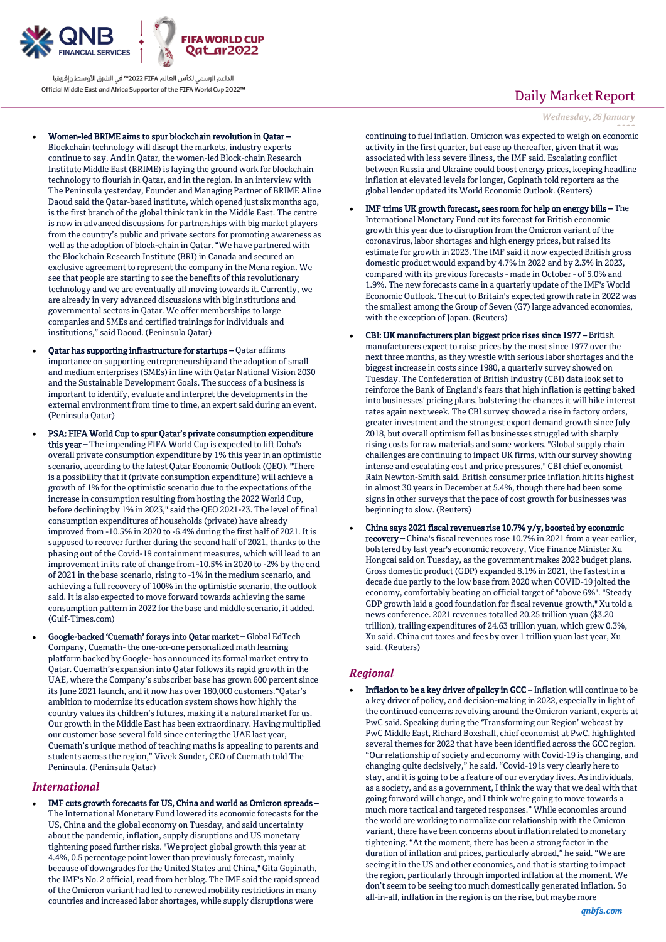

الداعم الرسمى لكأس العالم PIFA™ في الشرق الأوسط وإفريقيا Official Middle East and Africa Supporter of the FIFA World Cup 2022™

- Women-led BRIME aims to spur blockchain revolution in Qatar
	- Blockchain technology will disrupt the markets, industry experts continue to say. And in Qatar, the women-led Block-chain Research Institute Middle East (BRIME) is laying the ground work for blockchain technology to flourish in Qatar, and in the region. In an interview with The Peninsula yesterday, Founder and Managing Partner of BRIME Aline Daoud said the Qatar-based institute, which opened just six months ago, is the first branch of the global think tank in the Middle East. The centre is now in advanced discussions for partnerships with big market players from the country's public and private sectors for promoting awareness as well as the adoption of block-chain in Qatar. "We have partnered with the Blockchain Research Institute (BRI) in Canada and secured an exclusive agreement to represent the company in the Mena region. We see that people are starting to see the benefits of this revolutionary technology and we are eventually all moving towards it. Currently, we are already in very advanced discussions with big institutions and governmental sectors in Qatar. We offer memberships to large companies and SMEs and certified trainings for individuals and institutions," said Daoud. (Peninsula Qatar)
- Qatar has supporting infrastructure for startups Qatar affirms importance on supporting entrepreneurship and the adoption of small and medium enterprises (SMEs) in line with Qatar National Vision 2030 and the Sustainable Development Goals. The success of a business is important to identify, evaluate and interpret the developments in the external environment from time to time, an expert said during an event. (Peninsula Qatar)
- PSA: FIFA World Cup to spur Qatar's private consumption expenditure this year – The impending FIFA World Cup is expected to lift Doha's overall private consumption expenditure by 1% this year in an optimistic scenario, according to the latest Qatar Economic Outlook (QEO). "There is a possibility that it (private consumption expenditure) will achieve a growth of 1% for the optimistic scenario due to the expectations of the increase in consumption resulting from hosting the 2022 World Cup, before declining by 1% in 2023," said the QEO 2021-23. The level of final consumption expenditures of households (private) have already improved from -10.5% in 2020 to -6.4% during the first half of 2021. It is supposed to recover further during the second half of 2021, thanks to the phasing out of the Covid-19 containment measures, which will lead to an improvement in its rate of change from -10.5% in 2020 to -2% by the end of 2021 in the base scenario, rising to -1% in the medium scenario, and achieving a full recovery of 100% in the optimistic scenario, the outlook said. It is also expected to move forward towards achieving the same consumption pattern in 2022 for the base and middle scenario, it added. (Gulf-Times.com)
- Google-backed 'Cuemath' forays into Qatar market Global EdTech Company, Cuemath- the one-on-one personalized math learning platform backed by Google- has announced its formal market entry to Qatar. Cuemath's expansion into Qatar follows its rapid growth in the UAE, where the Company's subscriber base has grown 600 percent since its June 2021 launch, and it now has over 180,000 customers."Qatar's ambition to modernize its education system shows how highly the country values its children's futures, making it a natural market for us. Our growth in the Middle East has been extraordinary. Having multiplied our customer base several fold since entering the UAE last year, Cuemath's unique method of teaching maths is appealing to parents and students across the region," Vivek Sunder, CEO of Cuemath told The Peninsula. (Peninsula Qatar)

### *International*

 IMF cuts growth forecasts for US, China and world as Omicron spreads – The International Monetary Fund lowered its economic forecasts for the US, China and the global economy on Tuesday, and said uncertainty about the pandemic, inflation, supply disruptions and US monetary tightening posed further risks. "We project global growth this year at 4.4%, 0.5 percentage point lower than previously forecast, mainly because of downgrades for the United States and China," Gita Gopinath, the IMF's No. 2 official, read from her blog. The IMF said the rapid spread of the Omicron variant had led to renewed mobility restrictions in many countries and increased labor shortages, while supply disruptions were

# Daily Market Report

*Wednesday, 26 January*

*2022* continuing to fuel inflation. Omicron was expected to weigh on economic activity in the first quarter, but ease up thereafter, given that it was associated with less severe illness, the IMF said. Escalating conflict between Russia and Ukraine could boost energy prices, keeping headline inflation at elevated levels for longer, Gopinath told reporters as the global lender updated its World Economic Outlook. (Reuters)

- IMF trims UK growth forecast, sees room for help on energy bills The International Monetary Fund cut its forecast for British economic growth this year due to disruption from the Omicron variant of the coronavirus, labor shortages and high energy prices, but raised its estimate for growth in 2023. The IMF said it now expected British gross domestic product would expand by 4.7% in 2022 and by 2.3% in 2023, compared with its previous forecasts - made in October - of 5.0% and 1.9%. The new forecasts came in a quarterly update of the IMF's World Economic Outlook. The cut to Britain's expected growth rate in 2022 was the smallest among the Group of Seven (G7) large advanced economies, with the exception of Japan. (Reuters)
- CBI: UK manufacturers plan biggest price rises since 1977 British manufacturers expect to raise prices by the most since 1977 over the next three months, as they wrestle with serious labor shortages and the biggest increase in costs since 1980, a quarterly survey showed on Tuesday. The Confederation of British Industry (CBI) data look set to reinforce the Bank of England's fears that high inflation is getting baked into businesses' pricing plans, bolstering the chances it will hike interest rates again next week. The CBI survey showed a rise in factory orders, greater investment and the strongest export demand growth since July 2018, but overall optimism fell as businesses struggled with sharply rising costs for raw materials and some workers. "Global supply chain challenges are continuing to impact UK firms, with our survey showing intense and escalating cost and price pressures," CBI chief economist Rain Newton-Smith said. British consumer price inflation hit its highest in almost 30 years in December at 5.4%, though there had been some signs in other surveys that the pace of cost growth for businesses was beginning to slow. (Reuters)
- China says 2021 fiscal revenues rise 10.7% y/y, boosted by economic recovery – China's fiscal revenues rose 10.7% in 2021 from a year earlier, bolstered by last year's economic recovery, Vice Finance Minister Xu Hongcai said on Tuesday, as the government makes 2022 budget plans. Gross domestic product (GDP) expanded 8.1% in 2021, the fastest in a decade due partly to the low base from 2020 when COVID-19 jolted the economy, comfortably beating an official target of "above 6%". "Steady GDP growth laid a good foundation for fiscal revenue growth," Xu told a news conference. 2021 revenues totalled 20.25 trillion yuan (\$3.20 trillion), trailing expenditures of 24.63 trillion yuan, which grew 0.3%, Xu said. China cut taxes and fees by over 1 trillion yuan last year, Xu said. (Reuters)

## *Regional*

 Inflation to be a key driver of policy in GCC – Inflation will continue to be a key driver of policy, and decision-making in 2022, especially in light of the continued concerns revolving around the Omicron variant, experts at PwC said. Speaking during the 'Transforming our Region' webcast by PwC Middle East, Richard Boxshall, chief economist at PwC, highlighted several themes for 2022 that have been identified across the GCC region. "Our relationship of society and economy with Covid-19 is changing, and changing quite decisively," he said. "Covid-19 is very clearly here to stay, and it is going to be a feature of our everyday lives. As individuals, as a society, and as a government, I think the way that we deal with that going forward will change, and I think we're going to move towards a much more tactical and targeted responses." While economies around the world are working to normalize our relationship with the Omicron variant, there have been concerns about inflation related to monetary tightening. "At the moment, there has been a strong factor in the duration of inflation and prices, particularly abroad," he said. "We are seeing it in the US and other economies, and that is starting to impact the region, particularly through imported inflation at the moment. We don't seem to be seeing too much domestically generated inflation. So all-in-all, inflation in the region is on the rise, but maybe more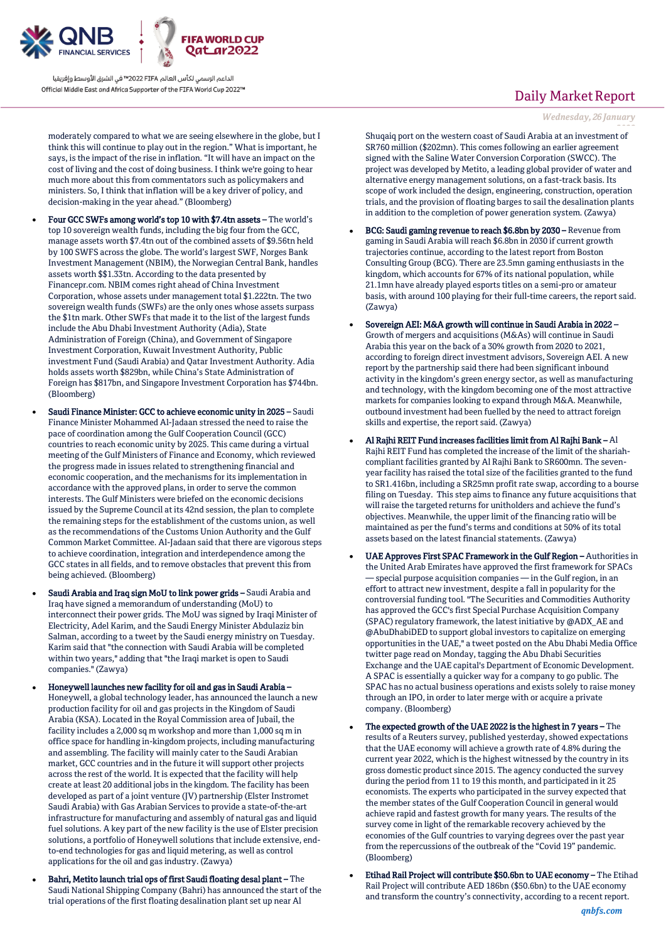

الداعم الرسمى لكأس العالم PIFA™ في الشرق الأوسط وإفريقيا Official Middle East and Africa Supporter of the FIFA World Cup 2022™

moderately compared to what we are seeing elsewhere in the globe, but I think this will continue to play out in the region." What is important, he says, is the impact of the rise in inflation. "It will have an impact on the cost of living and the cost of doing business. I think we're going to hear much more about this from commentators such as policymakers and ministers. So, I think that inflation will be a key driver of policy, and decision-making in the year ahead." (Bloomberg)

- Four GCC SWFs among world's top 10 with \$7.4tn assets The world's top 10 sovereign wealth funds, including the big four from the GCC, manage assets worth \$7.4tn out of the combined assets of \$9.56tn held by 100 SWFS across the globe. The world's largest SWF, Norges Bank Investment Management (NBIM), the Norwegian Central Bank, handles assets worth \$\$1.33tn. According to the data presented by Financepr.com. NBIM comes right ahead of China Investment Corporation, whose assets under management total \$1.222tn. The two sovereign wealth funds (SWFs) are the only ones whose assets surpass the \$1tn mark. Other SWFs that made it to the list of the largest funds include the Abu Dhabi Investment Authority (Adia), State Administration of Foreign (China), and Government of Singapore Investment Corporation, Kuwait Investment Authority, Public investment Fund (Saudi Arabia) and Qatar Investment Authority. Adia holds assets worth \$829bn, while China's State Administration of Foreign has \$817bn, and Singapore Investment Corporation has \$744bn. (Bloomberg)
- Saudi Finance Minister: GCC to achieve economic unity in 2025 Saudi Finance Minister Mohammed Al-Jadaan stressed the need to raise the pace of coordination among the Gulf Cooperation Council (GCC) countries to reach economic unity by 2025. This came during a virtual meeting of the Gulf Ministers of Finance and Economy, which reviewed the progress made in issues related to strengthening financial and economic cooperation, and the mechanisms for its implementation in accordance with the approved plans, in order to serve the common interests. The Gulf Ministers were briefed on the economic decisions issued by the Supreme Council at its 42nd session, the plan to complete the remaining steps for the establishment of the customs union, as well as the recommendations of the Customs Union Authority and the Gulf Common Market Committee. Al-Jadaan said that there are vigorous steps to achieve coordination, integration and interdependence among the GCC states in all fields, and to remove obstacles that prevent this from being achieved. (Bloomberg)
- Saudi Arabia and Iraq sign MoU to link power grids Saudi Arabia and Iraq have signed a memorandum of understanding (MoU) to interconnect their power grids. The MoU was signed by Iraqi Minister of Electricity, Adel Karim, and the Saudi Energy Minister Abdulaziz bin Salman, according to a tweet by the Saudi energy ministry on Tuesday. Karim said that "the connection with Saudi Arabia will be completed within two years," adding that "the Iraqi market is open to Saudi companies." (Zawya)
- Honeywell launches new facility for oil and gas in Saudi Arabia Honeywell, a global technology leader, has announced the launch a new production facility for oil and gas projects in the Kingdom of Saudi Arabia (KSA). Located in the Royal Commission area of Jubail, the facility includes a 2,000 sq m workshop and more than 1,000 sq m in office space for handling in-kingdom projects, including manufacturing and assembling. The facility will mainly cater to the Saudi Arabian market, GCC countries and in the future it will support other projects across the rest of the world. It is expected that the facility will help create at least 20 additional jobs in the kingdom. The facility has been developed as part of a joint venture (JV) partnership (Elster Instromet Saudi Arabia) with Gas Arabian Services to provide a state-of-the-art infrastructure for manufacturing and assembly of natural gas and liquid fuel solutions. A key part of the new facility is the use of Elster precision solutions, a portfolio of Honeywell solutions that include extensive, endto-end technologies for gas and liquid metering, as well as control applications for the oil and gas industry. (Zawya)
- Bahri, Metito launch trial ops of first Saudi floating desal plant The Saudi National Shipping Company (Bahri) has announced the start of the trial operations of the first floating desalination plant set up near Al

# Daily Market Report

*Wednesday, 26 January*

*2022* Shuqaiq port on the western coast of Saudi Arabia at an investment of SR760 million (\$202mn). This comes following an earlier agreement signed with the Saline Water Conversion Corporation (SWCC). The project was developed by Metito, a leading global provider of water and alternative energy management solutions, on a fast-track basis. Its scope of work included the design, engineering, construction, operation trials, and the provision of floating barges to sail the desalination plants in addition to the completion of power generation system. (Zawya)

- BCG: Saudi gaming revenue to reach \$6.8bn by 2030 Revenue from gaming in Saudi Arabia will reach \$6.8bn in 2030 if current growth trajectories continue, according to the latest report from Boston Consulting Group (BCG). There are 23.5mn gaming enthusiasts in the kingdom, which accounts for 67% of its national population, while 21.1mn have already played esports titles on a semi-pro or amateur basis, with around 100 playing for their full-time careers, the report said. (Zawya)
- Sovereign AEI: M&A growth will continue in Saudi Arabia in 2022 Growth of mergers and acquisitions (M&As) will continue in Saudi Arabia this year on the back of a 30% growth from 2020 to 2021, according to foreign direct investment advisors, Sovereign AEI. A new report by the partnership said there had been significant inbound activity in the kingdom's green energy sector, as well as manufacturing and technology, with the kingdom becoming one of the most attractive markets for companies looking to expand through M&A. Meanwhile, outbound investment had been fuelled by the need to attract foreign skills and expertise, the report said. (Zawya)
- Al Rajhi REIT Fund increases facilities limit from Al Rajhi Bank Al Rajhi REIT Fund has completed the increase of the limit of the shariahcompliant facilities granted by Al Rajhi Bank to SR600mn. The sevenyear facility has raised the total size of the facilities granted to the fund to SR1.416bn, including a SR25mn profit rate swap, according to a bourse filing on Tuesday. This step aims to finance any future acquisitions that will raise the targeted returns for unitholders and achieve the fund's objectives. Meanwhile, the upper limit of the financing ratio will be maintained as per the fund's terms and conditions at 50% of its total assets based on the latest financial statements. (Zawya)
- UAE Approves First SPAC Framework in the Gulf Region Authorities in the United Arab Emirates have approved the first framework for SPACs — special purpose acquisition companies — in the Gulf region, in an effort to attract new investment, despite a fall in popularity for the controversial funding tool. "The Securities and Commodities Authority has approved the GCC's first Special Purchase Acquisition Company (SPAC) regulatory framework, the latest initiative by @ADX\_AE and @AbuDhabiDED to support global investors to capitalize on emerging opportunities in the UAE," a tweet posted on the Abu Dhabi Media Office twitter page read on Monday, tagging the Abu Dhabi Securities Exchange and the UAE capital's Department of Economic Development. A SPAC is essentially a quicker way for a company to go public. The SPAC has no actual business operations and exists solely to raise money through an IPO, in order to later merge with or acquire a private company. (Bloomberg)
- The expected growth of the UAE 2022 is the highest in 7 years The results of a Reuters survey, published yesterday, showed expectations that the UAE economy will achieve a growth rate of 4.8% during the current year 2022, which is the highest witnessed by the country in its gross domestic product since 2015. The agency conducted the survey during the period from 11 to 19 this month, and participated in it 25 economists. The experts who participated in the survey expected that the member states of the Gulf Cooperation Council in general would achieve rapid and fastest growth for many years. The results of the survey come in light of the remarkable recovery achieved by the economies of the Gulf countries to varying degrees over the past year from the repercussions of the outbreak of the "Covid 19" pandemic. (Bloomberg)
- Etihad Rail Project will contribute \$50.6bn to UAE economy The Etihad Rail Project will contribute AED 186bn (\$50.6bn) to the UAE economy and transform the country's connectivity, according to a recent report.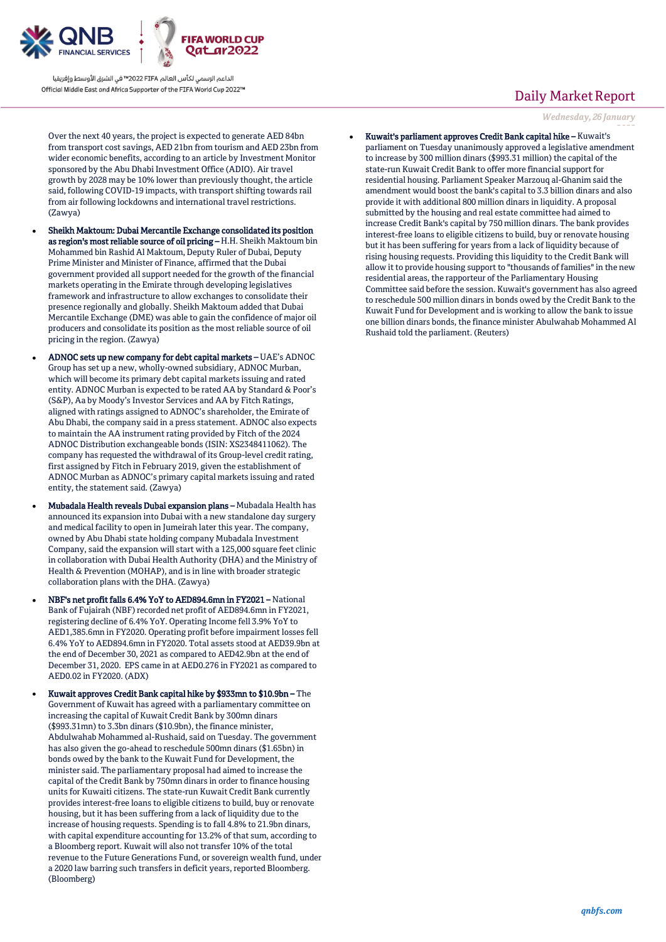

الداعم الرسمي لكأس العالم PIFA≤™ في الشرق الأوسط وإفريقيا Official Middle East and Africa Supporter of the FIFA World Cup 2022™

Over the next 40 years, the project is expected to generate AED 84bn from transport cost savings, AED 21bn from tourism and AED 23bn from wider economic benefits, according to an article by Investment Monitor sponsored by the Abu Dhabi Investment Office (ADIO). Air travel growth by 2028 may be 10% lower than previously thought, the article said, following COVID-19 impacts, with transport shifting towards rail from air following lockdowns and international travel restrictions. (Zawya)

- Sheikh Maktoum: Dubai Mercantile Exchange consolidated its position as region's most reliable source of oil pricing – H.H. Sheikh Maktoum bin Mohammed bin Rashid Al Maktoum, Deputy Ruler of Dubai, Deputy Prime Minister and Minister of Finance, affirmed that the Dubai government provided all support needed for the growth of the financial markets operating in the Emirate through developing legislatives framework and infrastructure to allow exchanges to consolidate their presence regionally and globally. Sheikh Maktoum added that Dubai Mercantile Exchange (DME) was able to gain the confidence of major oil producers and consolidate its position as the most reliable source of oil pricing in the region. (Zawya)
- ADNOC sets up new company for debt capital markets UAE's ADNOC Group has set up a new, wholly-owned subsidiary, ADNOC Murban, which will become its primary debt capital markets issuing and rated entity. ADNOC Murban is expected to be rated AA by Standard & Poor's (S&P), Aa by Moody's Investor Services and AA by Fitch Ratings, aligned with ratings assigned to ADNOC's shareholder, the Emirate of Abu Dhabi, the company said in a press statement. ADNOC also expects to maintain the AA instrument rating provided by Fitch of the 2024 ADNOC Distribution exchangeable bonds (ISIN: XS2348411062). The company has requested the withdrawal of its Group-level credit rating, first assigned by Fitch in February 2019, given the establishment of ADNOC Murban as ADNOC's primary capital markets issuing and rated entity, the statement said. (Zawya)
- Mubadala Health reveals Dubai expansion plans Mubadala Health has announced its expansion into Dubai with a new standalone day surgery and medical facility to open in Jumeirah later this year. The company, owned by Abu Dhabi state holding company Mubadala Investment Company, said the expansion will start with a 125,000 square feet clinic in collaboration with Dubai Health Authority (DHA) and the Ministry of Health & Prevention (MOHAP), and is in line with broader strategic collaboration plans with the DHA. (Zawya)
- NBF's net profit falls 6.4% YoY to AED894.6mn in FY2021 National Bank of Fujairah (NBF) recorded net profit of AED894.6mn in FY2021, registering decline of 6.4% YoY. Operating Income fell 3.9% YoY to AED1,385.6mn in FY2020. Operating profit before impairment losses fell 6.4% YoY to AED894.6mn in FY2020. Total assets stood at AED39.9bn at the end of December 30, 2021 as compared to AED42.9bn at the end of December 31, 2020. EPS came in at AED0.276 in FY2021 as compared to AED0.02 in FY2020. (ADX)
- Kuwait approves Credit Bank capital hike by \$933mn to \$10.9bn The Government of Kuwait has agreed with a parliamentary committee on increasing the capital of Kuwait Credit Bank by 300mn dinars (\$993.31mn) to 3.3bn dinars (\$10.9bn), the finance minister, Abdulwahab Mohammed al-Rushaid, said on Tuesday. The government has also given the go-ahead to reschedule 500mn dinars (\$1.65bn) in bonds owed by the bank to the Kuwait Fund for Development, the minister said. The parliamentary proposal had aimed to increase the capital of the Credit Bank by 750mn dinars in order to finance housing units for Kuwaiti citizens. The state-run Kuwait Credit Bank currently provides interest-free loans to eligible citizens to build, buy or renovate housing, but it has been suffering from a lack of liquidity due to the increase of housing requests. Spending is to fall 4.8% to 21.9bn dinars, with capital expenditure accounting for 13.2% of that sum, according to a Bloomberg report. Kuwait will also not transfer 10% of the total revenue to the Future Generations Fund, or sovereign wealth fund, under a 2020 law barring such transfers in deficit years, reported Bloomberg. (Bloomberg)

# Daily Market Report

*Wednesday, 26 January*

*2022* Kuwait's parliament approves Credit Bank capital hike – Kuwait's parliament on Tuesday unanimously approved a legislative amendment to increase by 300 million dinars (\$993.31 million) the capital of the state-run Kuwait Credit Bank to offer more financial support for residential housing. Parliament Speaker Marzouq al-Ghanim said the amendment would boost the bank's capital to 3.3 billion dinars and also provide it with additional 800 million dinars in liquidity. A proposal submitted by the housing and real estate committee had aimed to increase Credit Bank's capital by 750 million dinars. The bank provides interest-free loans to eligible citizens to build, buy or renovate housing but it has been suffering for years from a lack of liquidity because of rising housing requests. Providing this liquidity to the Credit Bank will allow it to provide housing support to "thousands of families" in the new residential areas, the rapporteur of the Parliamentary Housing Committee said before the session. Kuwait's government has also agreed to reschedule 500 million dinars in bonds owed by the Credit Bank to the Kuwait Fund for Development and is working to allow the bank to issue one billion dinars bonds, the finance minister Abulwahab Mohammed Al Rushaid told the parliament. (Reuters)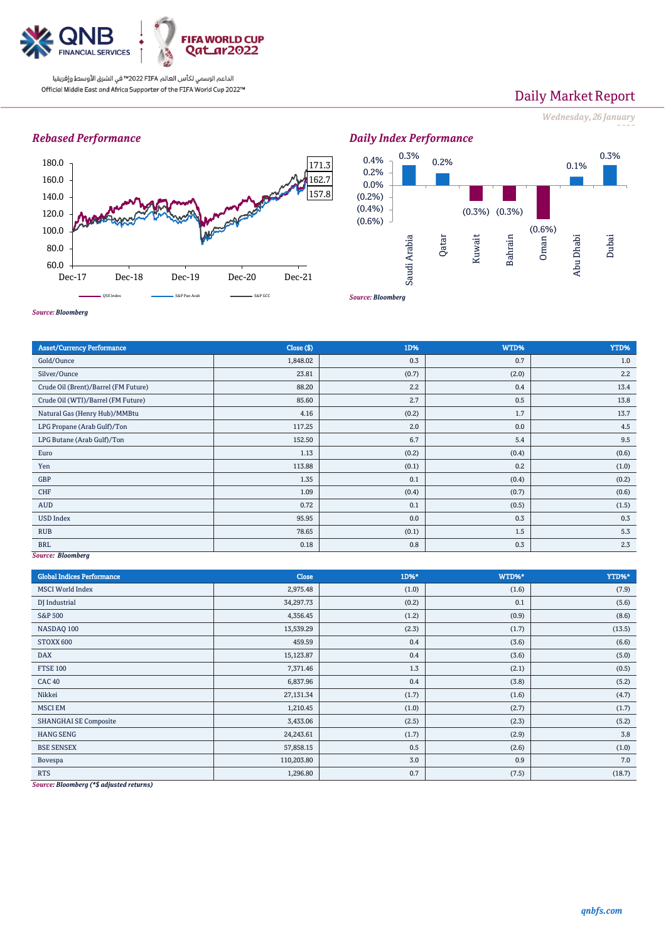

الداعم الرسمي لكأس العالم PIFA™ في الشرق الأوسط وإفريقيا Official Middle East and Africa Supporter of the FIFA World Cup 2022™

# Daily Market Report

*Wednesday, 26 January*

*2022*

## *Rebased Performance*





*Source: Bloomberg*

| <b>Asset/Currency Performance</b>    | Close ( \$) | 1D%   | WTD%  | YTD%  |  |  |
|--------------------------------------|-------------|-------|-------|-------|--|--|
| Gold/Ounce                           | 1,848.02    | 0.3   | 0.7   | 1.0   |  |  |
| Silver/Ounce                         | 23.81       | (0.7) | (2.0) | 2.2   |  |  |
| Crude Oil (Brent)/Barrel (FM Future) | 88.20       | 2.2   | 0.4   | 13.4  |  |  |
| Crude Oil (WTI)/Barrel (FM Future)   | 85.60       | 2.7   | 0.5   | 13.8  |  |  |
| Natural Gas (Henry Hub)/MMBtu        | 4.16        | (0.2) | 1.7   | 13.7  |  |  |
| LPG Propane (Arab Gulf)/Ton          | 117.25      | 2.0   | 0.0   | 4.5   |  |  |
| LPG Butane (Arab Gulf)/Ton           | 152.50      | 6.7   | 5.4   | 9.5   |  |  |
| Euro                                 | 1.13        | (0.2) | (0.4) | (0.6) |  |  |
| Yen                                  | 113.88      | (0.1) | 0.2   | (1.0) |  |  |
| GBP                                  | 1.35        | 0.1   | (0.4) | (0.2) |  |  |
| CHF                                  | 1.09        | (0.4) | (0.7) | (0.6) |  |  |
| AUD                                  | 0.72        | 0.1   | (0.5) | (1.5) |  |  |
| <b>USD Index</b>                     | 95.95       | 0.0   | 0.3   | 0.3   |  |  |
| <b>RUB</b>                           | 78.65       | (0.1) | 1.5   | 5.3   |  |  |
| <b>BRL</b>                           | 0.18        | 0.8   | 0.3   | 2.3   |  |  |
| Source: Bloomberg                    |             |       |       |       |  |  |

#### *Source: Bloomberg*

| <b>Global Indices Performance</b>                                                                                                                                | <b>Close</b> | 1D%*  | WTD%* | YTD%*  |
|------------------------------------------------------------------------------------------------------------------------------------------------------------------|--------------|-------|-------|--------|
| <b>MSCI World Index</b>                                                                                                                                          | 2,975.48     | (1.0) | (1.6) | (7.9)  |
| DJ Industrial                                                                                                                                                    | 34,297.73    | (0.2) | 0.1   | (5.6)  |
| <b>S&amp;P 500</b>                                                                                                                                               | 4,356.45     | (1.2) | (0.9) | (8.6)  |
| NASDAQ 100                                                                                                                                                       | 13,539.29    | (2.3) | (1.7) | (13.5) |
| STOXX 600                                                                                                                                                        | 459.59       | 0.4   | (3.6) | (6.6)  |
| <b>DAX</b>                                                                                                                                                       | 15,123.87    | 0.4   | (3.6) | (5.0)  |
| <b>FTSE 100</b>                                                                                                                                                  | 7,371.46     | 1.3   | (2.1) | (0.5)  |
| CAC <sub>40</sub>                                                                                                                                                | 6,837.96     | 0.4   | (3.8) | (5.2)  |
| Nikkei                                                                                                                                                           | 27,131.34    | (1.7) | (1.6) | (4.7)  |
| <b>MSCI EM</b>                                                                                                                                                   | 1,210.45     | (1.0) | (2.7) | (1.7)  |
| <b>SHANGHAI SE Composite</b>                                                                                                                                     | 3,433.06     | (2.5) | (2.3) | (5.2)  |
| <b>HANG SENG</b>                                                                                                                                                 | 24,243.61    | (1.7) | (2.9) | 3.8    |
| <b>BSE SENSEX</b>                                                                                                                                                | 57,858.15    | 0.5   | (2.6) | (1.0)  |
| Bovespa                                                                                                                                                          | 110,203.80   | 3.0   | 0.9   | 7.0    |
| <b>RTS</b><br>$\mathbf{B}$ $\mathbf{I}$ $\mathbf{I}$ $\mathbf{A}$ $\mathbf{A}$ $\mathbf{B}$ $\mathbf{C}$ $\mathbf{I}$ $\mathbf{A}$ $\mathbf{A}$<br>$\sim$ $\sim$ | 1,296.80     | 0.7   | (7.5) | (18.7) |

*Source: Bloomberg (\*\$ adjusted returns)*